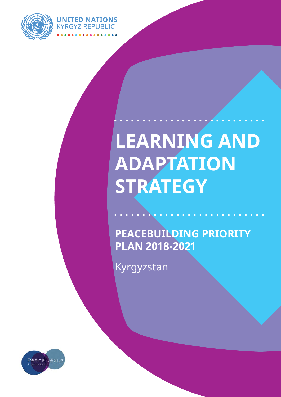

**UNITED NATIONS KYRGYZ REPUBLIC** 

# **LEARNING AND ADAPTATION STRATEGY**

**Peacebuilding Priority Plan 2018-2021**

Kyrgyzstan

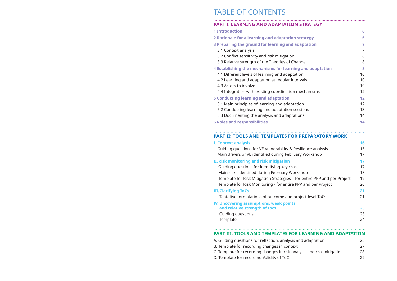## TABLE OF CONTENTS

# **PART I: LEARNING AND ADAPTATION STRATEGY 1 Introduction 6 2 Rationale for a learning and adaptation strategy 6 3 Preparing the ground for learning and adaptation 7 4 Establishing the mechanisms for learning and adaptation 8 5 Conducting learning and adaptation 12**

- 
- 
- 
- 

# 3.1 Context analysis 7 3.2 Conflict sensitivity and risk mitigation 8 3.3 Relative strength of the Theories of Change 8 4.1 Different levels of learning and adaptation 10 4.2 Learning and adaptation at regular intervals 10 4.3 Actors to involve 10 4.4 Integration with existing coordination mechanisms 12 5.1 Main principles of learning and adaptation 12 5.2 Conducting learning and adaptation sessions 13 5.3 Documenting the analysis and adaptations 14

- 
- 
- 
- 
- 

Guiding questions for identifying key risks 17 Main risks identified during February Works Template for Risk Mitigation Strategies - for Template for Risk Monitoring - for entire PPI

**IV. Uncovering assumptions, weak points and relative strength of tocs 23** Guiding questions 23 Template

#### **PART III: TOOLS AND TEMPLATES FOR L**

- 
- 
- 
- **6 Roles and responsibilities 14**

#### **PART II: TOOLS AND TEMPLATES FOR PREPARATORY WORK**

#### **I. Context analysis 16**

Guiding questions for VE Vulnerability & Resi Main drivers of VE identified during February

- A. Guiding questions for reflection, analysis and
- B. Template for recording changes in context 27
- C. Template for recording changes in risk analysis and risk mitigation 28
- D. Template for recording Validity of ToC 29

|                                | 16 |
|--------------------------------|----|
| ilience analysis               | 16 |
| y Workshop                     | 17 |
|                                | 17 |
|                                | 17 |
| ∶hop                           | 18 |
| entire PPP and per Project     | 19 |
| P and per Project              | 20 |
|                                | 21 |
| ject-level ToCs                | 21 |
|                                |    |
|                                | 23 |
|                                | 23 |
|                                | 24 |
|                                |    |
| <b>LEARNING AND ADAPTATION</b> |    |
| d adaptation                   | 25 |
|                                |    |

| u uuuptutivii           |    |
|-------------------------|----|
|                         | 27 |
| sis and risk mitigation | 28 |
|                         |    |

### **II. Risk monitoring and risk mitigation 17**

### **III. Clarifying ToCs 21**

Tentative formulations of outcome and proj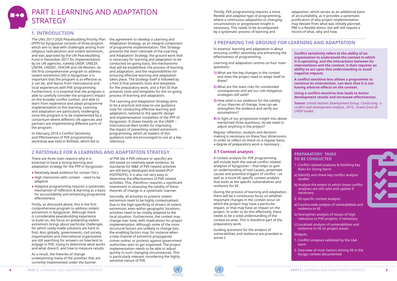

## PART I: LEARNING AND ADAPTATION **STRATEGY**

#### **1. INTRODUCTION**

The UN's 2017-2020 Peacebuilding Priority Plan the agreement to develop a Learning and (PPP) for Kyrgyzstan consists of three projects which aim to deal with challenges arising from religious radicalization and violent extremism, and was approved by the UN Peacebuilding Fund in December 2017 for implementation by six UN agencies, namely UNDP, UNICEF, UNFPA, UNODC, OHCHR and UN Women. As the first comprehensive program to address violent extremism (VE) in Kyrgyzstan it is important that the program is as effective as it can be, and learns from international and local experiences with PVE programming. Furthermore, it is essential that the program is able to carefully consider the program's impact on the broader conflict context, and able to learn from experience and adapt programme implementation to this learning. Learning and adaptation are particularly challenging since the program is to be implemented by a consortium where different UN agencies and partners are implementing different parts of the program.

In February 2018 a Conflict Sensitivity and Effectiveness of PVE programming workshop was held in Bishkek, which led to

Adaptation Strategy, as an integral component of programme implementation. This Strategy presents the main rationale of the Learning and Adaptation Strategy, the ground work that is necessary for learning and adaptation to be conducted on-going basis, the mechanisms that will be established, the process of learning and adaptation, and the responsibilities for ensuring effective learning and adaptation takes place. The Strategy itself is followed by a Part II that presents tools and templates for the preparatory work, and a Part III that presents tools and templates for the on-going process of learning and adaptation.

The Learning and Adaptation Strategy aims to be a practical and easy-to-use guidance note for conducting effective learning and adaptation, tailored to the specific design and implementation modalities of the PPP of Kyrgyzstan. It draws heavily on the UNDP – International Alert toolkit for improving the impact of preventing violent extremism programming, which all readers of this guidance note are encouraged to use as a key reference.

## **2 RATIONALE FOR A LEARNING AND ADAPTATION STRATEGY**

There are three main reasons why it is essential to have a strong learning and adaptation strategy for the PPP in Kyrgyzstan:

- **●** Relatively weak evidence for certain ToCs
- **●** High interaction with context need to be adaptive
- **●** Adaptive programming requires a systematic mechanism of reflection & learning as a basis for accountability and enhancing programme effectiveness

Firstly, as discussed above, this is the first comprehensive program to address violent extremism in Kyrgyzstan. Although there is considerable peacebuilding experience to build on, the focus on preventing violent extremism brings about particular challenges for which ready-made solutions are hard to find. Also globally, governments, civil society organisations and international organisation are still searching for answers on how best to engage in PVE, trying to determine what works and what doesn't, and how to measure results.

As a result, the theories of change underpinning many of the activities that are currently implemented under the banner of PVE (be it PVE-relevant or specific) are still based on relatively weak evidence. As standards for M&E of PVE-related activities are still being developed and tested (PUT FOOTNOTE), it is also not very easy to determine the effectiveness of PVE-related activities. This, therefore, requires a significant investment in assessing the validity of these theories of change in a systematic manner.

Secondly, all activities to prevent violent extremism need to be highly contextualised. Due to the high specificity of drivers of violent extremism, even within geographic locations, activities need to be closely adapted to the local situation. Furthermore, the context may change over time, with implications for project implementation. Although some of the more structural factors are unlikely to change fast, the enabling factors may, for instance when a new channel of extremist propaganda comes online, or protests against government authorities start to get organised. The project implementation needs to be able to adjust quickly to such changing circumstances. This is particularly relevant considering the highly sensitive nature of PVE.

Thirdly, PVE programming requires a more flexible and adaptive type of programming, where a continuous adaptation to changing circumstances or progressive insight is necessary. This needs to be accompanied by a systematic process of learning and

adaptation, which serves as an additional basis of accountability, as it provides a systematic justification of why project implementation may deviate from what was initially planned. PBF is a flexible donor, but will still require a record of what, why and how.

#### **3 PREPARING THE GROUND FOR LEARNING AND ADAPTATION**

In essence, learning and adaptation is about ensuring conflict sensitivity and enhancing the effectiveness of programming.

Learning and adaptation centres on four main questions:

- **1)** What are the key changes in the context and does the project need to adapt itself to these?
- **2)** What are the main risks for unintended consequences and are our risk mitigation strategies still valid?
- **3)** How solid is our evidence for the validity of our theories of change, how can we strengthen the evidence and verify our assumptions?
- **4)** In light of our progressive insight into above mentioned three questions, do we need to adjust anything in the project?

Regular reflection, analysis and decisionmaking is necessary on these four dimensions. In order to reflect on these on a regular basis, a degree of preparatory work is necessary .

#### **3.1 Context analysis**

A context analysis for PVE programming will include both the overall conflict related analyses of Kyrgyzstan – that helps to gain an understanding of root causes, proximate causes and potential triggers of conflict – as well as a more VE-specific context analysis that looks at the specific vulnerabilities and resilience for VE.

During the process of learning and adaptation, there will be a continuous focus on whether important changes in the context occur on which the project may have a particular impact, or that may have an impact on the project. In order to do this effectively, there needs to be a solid understanding of the context ex-ante. This is therefore part of the preparatory work.

Guiding questions for the analysis of vulnerabilities and resilience are provided in annex I.



**Conflict sensitivity refers to the ability of an organisation to understand the context in which it is operating, and the interactions between its interventions and the context; it then requires an ability to act upon this understanding to avoid negative impacts.** 

**A conflict-sensitive lens allows a programme to continue its intervention, con dent that it is not having adverse effects on the context.** 

**Using a conflict-sensitive lens leads to better development results and increased effectiveness.** 

*Source: United Nations Development Group, Conducting
a conflict and development analysis, 2016,. Drawn from IA-UNDP toolkit.* 

#### **Preparatory tasks to be conducted**

- 1. Conflict related analyses & Distilling key Risks for Doing Harm
- a) Identify and share key conflict analysis studies
- b) Analyse the extent to which these conflict analyses are still valid and update if necessary
- 2. VE-specific context analysis

- a) Country-wide analysis of vulnerabilities and resilience to VE
- b) Strengthen analysis of issues of high relevance to PVE projects, if necessary
- c) Localized analysis of vulnerabilities and resilience to VE (in project areas)
- **Outputs**
- 1. Conflict analyses validated by the L&A team
- 2. Overview of main factors driving VE in the Kyrgyz context documented

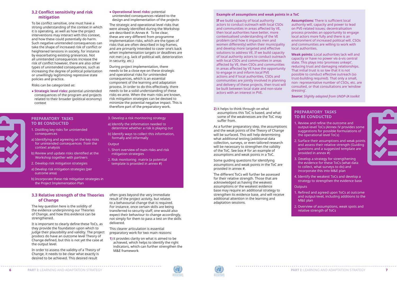#### **3.2 Conflict sensitivity and risk mitigation**

To be conflict sensitive, one must have a strong understanding of the context in which it is operating, as well as how the project interventions may interact with this context, and how these could potentially do harm. Such negative unintended consequences can take the shape of increased risk of conflict or heightened tensions in society, for instance by exacerbating existing grievances. Not all unintended consequences increase the risk of conflict however, there are also other types of unintended consequences, such as increasing the degree of political polarization or unwillingly legitimizing repressive state policies and practice.

Risks can be categorized as:

**● Strategic level risks:** potential unintended consequences of the program and projects related to their broader (political economy) context

#### **● Operational level risks:** potential

unintended consequences related to the design and implementation of the projects

The strategic and operational level risks that were already identified during the Workshop are described in Annex #. To be clear, these are very different from programme implementation risks, which are the types of risks that are often described in log-frames, and are primarily intended to cover one's back when implementation targets or deadlines are not met (.e.g. lack of political will, deterioration in security, etc.)

The key question here is the solidity of the evidence underpinning our Theories of Change, and how this evidence can be strengthened.

During project implementation, there needs to be a close eye on these strategic and operational risks for unintended consequences, which is an essential component of the learning and adaptation process. In order to do this effectively, there needs to be a solid understanding of these risks ex-ante. When the main risks are known, risk mitigation strategies can be devised to minimize the potential negative impact. This is therefore part of the preparatory work.

#### **Preparatory tasks to be conducted**

- 1. Distilling key risks for unintended consequences
- a) Identifying and agreeing on the key risks for unintended consequences from the context analysis
- b) Review and update risks identified at the Workshop together with partners
- 2. Develop risk mitigation strategies
- a) Develop risk mitigation strategies (per outcome area)
- b) Incorporate these risk mitigation strategies in the Project Implementation Plan

#### 3. Develop a risk monitoring strategy

- a) Identify the information needed to determine whether a risk is playing out
- b) Identify ways to collect this information, formally and informally

#### **Output**

- 1. Short overview of main risks and risk mitigation strategies
- 2. Risk monitoring matrix (a potential template is provided in annex #)

#### **3.3 Relative strength of the Theories of Change**

It is important to clearly define these ToCs, as they provide the foundation upon which to judge their plausibility and validity. The project prodocs do have an outcome level Theory of Change defined, but this is not yet the case at the output level.

In order to assess the validity of a Theory of Change, it needs to be clear what exactly is desired to be achieved. This desired result

often goes beyond the very immediate result of the project activity, but relates to a behavourial change that is required. For instance, once certain skills are being transferred to security staff, one would also expect their behaviour to change accordingly, not simply for them to pass a test on the skills delivered.

This clearer articulation is essential preparatory work for two main reasons:

**1)** it provides clarity on what is aimed to be achieved, which helps to identify the right indicators, which can further strengthen the M&E framework

**2)** it helps to think through on what assumptions this ToC is based, and what some of the weaknesses are the ToC may suffer from.

As a further preparatory step, the assumptions and the weak points of the Theory of Change will be surfaced. This will help determining what additional testing (additional data collection, surveys, or even tailored research will be necessary to strengthen the validity of the ToC. See box # for an example of assumptions and weak points in a ToC.

Some guiding questions for identifying assumptions and weak points in the ToC are provided in annex #.

The different ToCs will further be assessed for their relative strength. Those that are acknowledged as having the weakest assumptions or the weakest evidence base may require an additional strategy to strengthen its evidence base, and will receive additional attention in the learning and adaptation sessions.



#### **Preparatory tasks to be conducted**

1. Review and refine the outcome and output-level ToCs (Annex IV provides some suggestions for possible formulations of the operational level ToCs)

2. Surface their assumptions and weak points and assess their relative strength (Guiding questions and a suggested template are provided in annex #)

3. Develop a strategy for strengthening the evidence for these ToCs (what data to collect, what surveys to do) and incorporate this into M&E plan

4. Identify the weakest ToCs and develop a strategy to strengthen the evidence base

**Outputs** 

1. Refined and agreed upon ToCs at outcome and output-level, including additions to the M&E plan

2. Overview of assumptions, weak spots and relative strength of ToCs



#### **Example of assumptions and weak points in a ToC**

**If** we build capacity of local authority actors to conduct outreach with local CSOs and communities in areas affected by VE, then local authorities have better, more contextualised understanding of the VE problem (and how it impacts men and women differently) within their municipality and develop more targeted and effective solutions to address VE. If we build capacity of local authority actors to conduct outreach with local CSOs and communities in areas affected by VE, then CSOs and communities in areas affected by VE have the opportunity to engage in and inform local PVE actions and if local authorities, CSOs and communities are jointly involved in planning and delivery of these projects, then trust will be built between local state and non-state actors with an interest in PVE.

**Assumptions:** There is sufficient local authority will, capacity and power to lead on PVE-related issues; decentralisation process provides an opportunity to engage local actors more fully and there is an environment of increased political will. CSOs and communities are willing to work with local authorities.

**Weak points:** Local authorities lack will and capacity or have no power vis-à-vis central state. This plays into 'promises unkept', reducing trust and damaging relationships. That initial trust is so low that it is not possible to conduct effective outreach (so trust-building required). That only a small, non- representative number of CSOs, etc. are consulted, or that consultations are 'window

dressing'.

*Source: Slighlty adapted from UNDP-IA toolkit*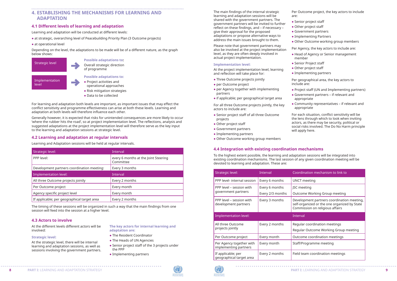## **4. ESTABLISHING THE MECHANISMS FOR LEARNING AND ADAPTATION**

#### **4.1 Different levels of learning and adaptation**

Learning and adaptation will be conducted at different levels:

- **●** at strategic, overarching level of Peacebuilding Priority Plan (3 Outcome projects)
- **●** at operational level

Depending on the level, the adaptations to be made will be of a different nature, as the graph below shows:

For learning and adaptation both levels are important, as important issues that may effect the conflict sensitivity and programme effectiveness can arise at both these levels. Learning and adaptation at both levels will therefore influence each other.

Generally however, it is expected that risks for unintended consequences are more likely to occur 'where the rubber hits the road', so at project implementation level. The reflections, analysis and suggested adaptations at the project implementation level will therefore serve as the key input to the learning and adaptation sessions at strategic level.

#### **4.2 Learning and adaptation at regular intervals**

Learning and Adaptation sessions will be held at regular intervals.

| Strategic level:                            | Interval                                          |
|---------------------------------------------|---------------------------------------------------|
| PPP level:                                  | every 6 months at the Joint Steering<br>Committee |
| Development partners coordination meeting:  | Every 3 months                                    |
| Implementation level:                       | Interval                                          |
| All three Outcome projects jointly          | Every 2 months                                    |
| Per Outcome project                         | Every month                                       |
| Agency specific project level               | Every month                                       |
| If applicable; per geographical target area | Every 2 months                                    |

The timing of these sessions will be organized in such a way that the main findings from one session will feed into the session at a higher level.



**●** Data to be collected

The main findings of the internal strategic learning and adaptation sessions will be shared with the government partners. The government partners will be invited to further reflect on these findings, and – if necessary – give their approval for the proposed adaptations or propose alternative ways to

Please note that government partners may also be involved at the project implementation level, as they are often deeply involved in actual project implementation.

#### **Implementation level:**

At the project implementation level, learning and reflection will take place for:

- **●** Three Outcome projects jointly
- **●** per Outcome project
- **●** per Agency together with implementing partners
- **●** if applicable; per geographical target area
- 
- **●** Government partners
- address the main issues brought to them.

For all three Outcome projects jointly, the key actors to include are:

- **●** Senior project staff of all three Outcome projects
- **●** Other project staff
- **●** Government partners
- **●** Implementing partners
- **●** Other Outcome working group members

Per Outcome project, the key actors to include

are:

- **●** Senior project staff
- **●** Other project staff
- **●** Implementing Partners
- **●** Other Outcome working group members

Per Agency, the key actors to include are:

- **●** Head of Agency or Senior management member
- **●** Senior Project staff
- **●** Other project staff
- **●** Implementing partners
- Per geographical area, the key actors to include are:
- **●** Project staff (UN and Implementing partners)
- **●** Government partners if relevant and appropriate
- **●** Community representatives if relevant and appropriate

For each situation, conflict sensitivity will be the lens through which to look when inviting actors, as there may be security, political or social risks involved. The Do No Harm principle will apply here.

#### lination mechanism to link to

meeting

neeting

ome Working Group meeting

lopment partners coordination meeting, organized or the one organized by State mission on religious affairs

- Ilar coordination meetings
- Ilar Outcome Working Group meeting
- ome coordination meetings
- Programme meeting
- team coordination meetings

#### **4.3 Actors to involve**

At the different levels different actors will be involved:

#### **Strategic level:**

At the strategic level, there will be internal learning and adaptation sessions, as well as sessions involving the government partners.

**The key actors for internal learning and adaptation are:** 

- **●** The Resident Coordinator
- **●** The Heads of UN Agencies
- **●** Senior project staff of the 3 projects under the PPP
- **●** Implementing partners

#### **4.4 Integration with existing coordination mechanisms**

To the highest extent possible, the learning and adaptation sessions will be integrated into existing coordination mechanisms. The last session of any given coordination meeting will be devoted to learning and adaptation. These are:

| Strategic level:                                  | Interval                           | Coordir                       |
|---------------------------------------------------|------------------------------------|-------------------------------|
| PPP level- internal session                       | Every 6 months                     | UNCT <sub>m</sub>             |
| PPP level – session with<br>government partners   | Every 6 months<br>Every 2/3 months | JSC mee<br>Outcom             |
| PPP level – session with<br>development partners  | Every 3 months                     | Develop<br>self-org<br>Commis |
| <b>Implementation level:</b>                      |                                    | Interval                      |
| All three Outcome<br>projects jointly             | Every 2 months                     | Regular<br>Regular            |
| Per Outcome project                               | Every month                        | Outcom                        |
| Per Agency together with<br>implementing partners | Every month                        | Staff/Pr                      |
| If applicable; per<br>geographical target area    | Every 2 months                     | Field tea                     |



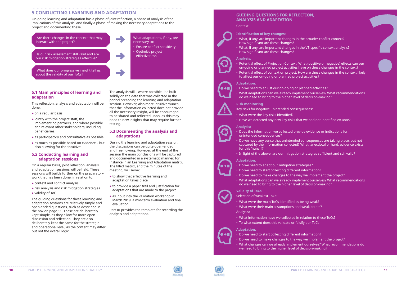#### **5 CONDUCTING LEARNING AND ADAPTATION**

On-going learning and adaptation has a phase of joint reflection, a phase of analysis of the implications of this analysis, and finally a phase of making the necessary adaptations to the project and documenting these.

 $\mathbb{R}^n$ 

#### **5.1 Main principles of learning and adaptation**

This reflection, analysis and adaptation will be done:

- **●** on a regular basis
- **●** jointly with the project staff, the implementing partners, and where possible and relevant other stakeholders, including beneficiaries.
- **●** as participatory and consultative as possible
- **●** as much as possible based on evidence but also allowing for the 'intuitive'

#### **5.2 Conducting learning and adaptation sessions**

On a regular basis, joint reflection, analysis and adaptation sessions will be held. These sessions will builds further on the preparatory work that has been done, in relation to:

- **●** context and conflict analysis
- **●** risk analysis and risk mitigation strategies
- **●** validity of ToC

The guiding questions for these learning and adaptation sessions are relatively simple and open-ended questions, such as described in the box on page 11. These are deliberately kept simple, as they allow for more open discussion and reflection. They are also deliberately kept the same for the strategic and operational level, as the content may differ but not the overall logic.

The analysis will – where possible - be built solidly on the data that was collected in the period preceding the learning and adaptation session. However, also more intuitive 'hunch' that the information collected does not provide all the necessary insight, will be encouraged to be shared and reflected upon, as this may need to new insights that may require further testing.

#### **5.3 Documenting the analysis and adaptations**

During the learning and adaptation session, the discussions can be quite open-ended and free flowing. However, at the end of the session the main conclusions will be captured and documented in a systematic manner, for instance in an Learning and Adaptation matrix. The filled matrix, and the minutes of the meeting, will serve:

- **●** to show that effective learning and adaptation takes place
- **●** to provide a paper trail and justification for adaptations that are made to the project
- **●** as input into the validation workshop in March 2019, a mid-term evaluation and final evaluation

Part III provides the template for recording the analysis and adaptations.

#### **Guiding questions for refle ction, analysis and adaptation**

#### Context

#### **Identification of key changes:**

- What, if any, are important changes in the broader conflict context? How significant are these changes?
- What, if any, are important changes in the VE-specific context analysis? How significant are these changes?

#### **Analysis:**

• Potential effect of Project on Context: What (positive or negative) effects can our • Potential effect of context on project: How are these changes in the context likely

• Do we need to adjust our on-going or planned activities?<br>• What adaptations can we already implement ourselves? What recommendations

- on-going or planned project activities have on these changes in the context?
- to affect our on-going or planned project activities?

#### **Adaptation:**

 $\bullet\rightarrow\blacksquare$ 

 $\bullet\rightarrow\blacksquare$ 

- 
- do we need to bring to the higher level of decision-making?

#### **Risk monitoring**

- Key risks for negative unintended consequences:<br>• What were the key risks identified?<br>• Have we detected any new key risks that we had not identified ex-ante?
- 
- 

#### **Analysis:**

- Does the information we collected provide evidence or indications for unintended consequences?
- Do we have any sense that unintended consequences are taking place, but not for this 'hunch'?
- In light of the above, are our mitigation strategies sufficient and still valid?

captured by the information collected? What, anecdotal or hard, evidence exists

#### **Adaptation:**

- Do we need to adapt our mitigation strategies?
- 
- 
- Do we need to start collecting different information?<br>• Do we need to make changes to the way we implement the project?<br>• What adaptations can we already implement ourselves? What recommendations do we need to bring to the higher level of decision-making?

#### **Validity of To C s**

- Selection of weakest ToCs:
- 
- What were the main ToCs identified as being weak? What were their main assumptions and weak points?
- Analysis: What information have we collected in relation to these ToCs?
- To what extent does this validate or falsify our ToCs

#### **Adaptation:**

- 
- Do we need to start collecting different information? Do we need to make changes to the way we implement the project? What changes can we already implement ourselves? What recommendations do
- we need to bring to the higher level of decision-making?



 $\bullet\rightarrow\blacksquare$ 



Is our risk assessment still valid and are our risk mitigation strategies effective?

What does our progressive insight tell us about the validity of our ToCs?

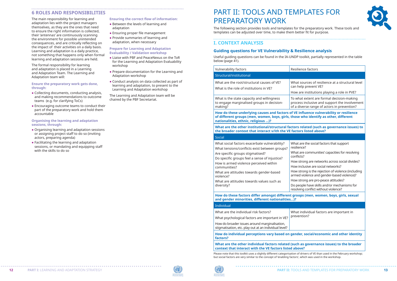#### **6 Roles and responsibilities**

The main responsibility for learning and adaptation lies with the project managers themselves, as they are the ones that need to ensure the right information is collected, their 'antennas' are continuously scanning the environment for possible unintended consequences, and are critically reflecting on the impact of their activities on a daily basis. Learning and adaptation is a daily practice, not something that happens only when formal learning and adaptation sessions are held.

The formal responsibility for learning and adaptation is placed in a Learning and Adaptation Team. The Learning and Adaptation team will:

#### **Ensure the preparatory work gets done, through:**

- **●** Collecting documents, conducting analysis, and making recommendations to outcome teams (e.g. for clarifying ToCs)
- **●** Encouraging outcome teams to conduct their part of the preparatory work and hold them accountable

#### **Organising the learning and adaptation sessions, through:**

- **●** Organising learning and adaptation sessions or assigning project staff to do so (inviting actors, preparing agenda)
- **●** Facilitating the learning and adaptation sessions, or mandating and equipping staff with the skills to do so

#### **Ensuring the correct flow of information:**

**●** Between the levels of learning and adaptation

- **●** Ensuring proper file management
- **●** Provide summaries of learning and adaptation, when necessary

#### **Prepare for Learning and Adaptation Evaluability / Validation workshop**

- **●** Liaise with PBF and PeaceNexus on the ToR for the Learning and Adaptation Evaluability workshop
- **●** Prepare documentation for the Learning and Adaptation workshop
- **●** Conduct analysis on data collected as part of learning and adaptation, to present to the Learning and Adaptation workshop

The Learning and Adaptation team will be chaired by the PBF Secretariat.

# PART II: TOOLS AND TEMPLATES FOR PREPARATORY WORK

The following section provides tools and templates for the preparatory work. These tools and templates can be adjusted over time, to make them better fit for purpose.

## **I. CONTEXT ANALYSIS**

#### **Guiding questions for VE Vulnerability & Resilience analysis**

Useful guiding questions can be found in the IA-UNDP toolkit, partially represented in the table below (page 41).

| <b>Vulnerability factors</b>                                                                                                                                                                                                                                                                                                                                     | Resilier                                                                                                           |
|------------------------------------------------------------------------------------------------------------------------------------------------------------------------------------------------------------------------------------------------------------------------------------------------------------------------------------------------------------------|--------------------------------------------------------------------------------------------------------------------|
| Structural/institutional                                                                                                                                                                                                                                                                                                                                         |                                                                                                                    |
| What are the root/structural causes of VE?<br>What is the role of institutions in VE?                                                                                                                                                                                                                                                                            | What s<br>can hel<br>How ar                                                                                        |
| What is the state capacity and willingness<br>to engage marginalised groups in decision-<br>making?                                                                                                                                                                                                                                                              | To wha<br>proces:<br>of a div                                                                                      |
| How do these underlying causes and factors of VE in<br>of different groups (men, women, boys, girls, those y<br>nationalities, ethnic, religious )?                                                                                                                                                                                                              |                                                                                                                    |
| What are the other institutional/structural factors r<br>the broader context that interact v/ith the VE factor                                                                                                                                                                                                                                                   |                                                                                                                    |
| <b>Social</b>                                                                                                                                                                                                                                                                                                                                                    |                                                                                                                    |
| What social factors exacerbate vulnerability?<br>What tensions/conflicts exist between groups?<br>Are specific groups stigmatised?<br>Do specific groups feel a sense of injustice?<br>How is armed violence perceived within<br>communities?<br>What are attitudes towards gender-based<br>violence?<br>What are attitudes towards values such as<br>diversity? | What a<br>resilien<br>What a<br>conflict<br>How str<br>How in<br>How str<br>armed<br>How str<br>Do peo<br>resolvir |
| How do these factors differ amongst different groop<br>and gender minorities, different nationalities)?                                                                                                                                                                                                                                                          |                                                                                                                    |

**How do these factors differ amongst different groops (men, women, boys, girls, sexual** 

individual factors are important in ntion?

#### **How do individual perceptividus in the identity in the social/economic and other identity**

#### Individual

| How do individual perceptions vary based on gende<br>factors?                                          |        |
|--------------------------------------------------------------------------------------------------------|--------|
| How do broader issues around marginalisation,<br>stigmatisation, etc. play out at an individual level? |        |
| What psychological factors are important in VE?                                                        | prever |
| What are the individual risk factors?                                                                  | What   |

#### **What are the other individual factors related (such as governance issues) to the broader context that interact with the VE factors listed above?**

Please note that this toolkit uses a slightly different categorisation of drivers of VE than used in the February workshop; but social factors are very similar to the concept of 'enabling factors', which was used in the workshop.







#### nce factors

ources of resilience at a structural level lp prevent VE?

re institutions playing a role in PVE?

It extent are formal decision-making s inclusive and support the involvement verse range of actors in prevention?

**How do the famility of resilience** who identify as other, different

**Whated (such as governance issues) to the broader is broader to be the s** 

re the social factors that support ce?

re communities' capacities for resolving  $S^2$ 

rong are networks across social divides? clusive are social networks?

rong is the rejection of violence (including violence and gender-based violence)?

rong are pro-peace attitudes?

ple have skills and/or mechanisms for ng conflict without violence?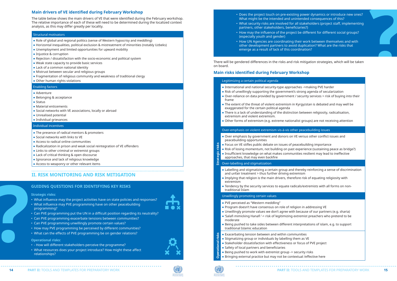#### **Main drivers of VE identified during February Workshop**

The table below shows the main drivers of VE that were identified during the February workshop. The relative importance of each of these will need to be determined during the localized context analysis, as this may differ greatly per locality.

#### Structural motivators

- **●** Role of global and regional politics (sense of Western hypocrisy and meddling)
- **●** Horizontal inequalities, political exclusion & mistreatment of minorities (notably Uzbeks)
- **●** Unemployment and limited opportunities for upward mobility
- **●** Injustice & corruption
- **●** Rejection / dissatisfaction with the socio-economic and political system
- **●** Weak state capacity to provide basic services
- **●** Lack of a common national identity
- **●** Mistrust between secular and religious groups
- **●** Fragmentation of religious community and weakness of traditional clergy
- **●** Other human rights violations

#### Enabling factors

- **●** Adventure
- **●** Belonging & acceptance
- **●** Status
- **●** Material enticements
- **●** Social networks with VE associations, locally or abroad
- **●** Unrealised potential
- **●** Individual grievances

#### Individual incentives

- **●** The presence of radical mentors & promoters
- **●** Social networks with links to VE
- **●** Access to radical online communities
- **●** Radicalization in prison and weak social reintegration of VE offenders
- **●** Links to other criminal or extremist groups
- **●** Lack of critical thinking & open discourse
- **●** Ignorance and lack of religious knowledge
- **●** Access to weaponry or other relevant items

## **II. RISK MONITORING AND RISK MITIGATION**

There will be gendered differences in the risks and risk mitigation strategies, which will be taken on board.

#### **Main risks identified during February Workshop**

#### Legitimizing a certain political agenda

- **●** International and national security-type approaches ->making PVE harder
- **●** Risk of unwillingly supporting the government's strong agenda of secularization
- **●** Over-reliance on data provided by government / security services > risk of buying into their frame
- **●** The extent of the threat of violent extremism in Kyrgyzstan is debated and may well be exaggerated for the certain political agenda
- **●** There is a lack of understanding of the distinction between religiosity, radicalisation, extremism and violent extremism.
- **●** Other forms of extremism (e.g. extreme nationalist groups) are not receiving attention

# **Strategic risks** Over-labelling and stigmatization

#### Over-emphasis on violent extremism vis-à-vis other peacebuilding issues

- **●** Over emphasis by government and donors on VE versus other conflict issues and peacebuilding opportunities
- **●** Focus on VE stifles public debate on issues of peacebuilding importance
- **●** Risk of losing momentum, not building on past experience (sustaining peace as bridge?)
- **●** Insufficient knowledge on what makes communities resilient may lead to ineffective approaches, that may even backfire

- **●** Labelling and stigmatizing a certain group and thereby reinforcing a sense of discrimination and unfair treatment > thus further driving extremism
- **●** Implying that religion is the main drivers, therefore risk of equating religiosity with extremism
- **●** Tendency by the security services to equate radicals/extremists with all forms on nontraditional Islam

#### Unwillingly promoting certain values

- **●** PVE perceived as "Western meddling"
- **●** Program doesn't have consensus on role of religion in addressing VE **●** Unwillingly promote values we don't agree with because of our partners (e.g. sharia) **●** 'Salafi mimicking Hanafi '-> risk of legitimizing extremist preachers who pretend to be
- 
- moderate
- **●** Being pushed to take sides between different interpretations of islam, e.g. to support traditional Islamic education
- 
- **●** Stigmatizing group or individuals by labelling them as VE
- **●** Stakeholder dissatisfaction with effectiveness or focus of PVE project
- **●** Safety of local partners and beneficiaries
- 
- Exacerbating tension between and within communities<br>● Stigmatizing group or individuals by labelling them as<br>● Stakeholder dissatisfaction with effectiveness or focus<br>● Safety of local partners and beneficiaries<br>● Being **●** Being pushed to work with extremist group -> security risks **●** Bringing external practice but may not be contextual /effective here





#### **Guiding questions for identifying key risks**

#### **Strategic risks:**

- What influence may the project activities have on state policies and responses?
- What influence may PVE programming have on other peacebuilding programming?
- Can PVE programming put the UN in a difficult position regarding its neutrality?
- Can PVE programming exacerbate tensions between communities?
- Can PVE programming unwillingly promote certain values?
- How may PVE programming be perceived by different communities?
- What can the effects of PVE programming be on gender relations?

#### **Operational risks:**

- - How will different stakeholders perceive the programme?
- What resources does your project introduce? How might these affect relationships?
- Does the project touch on pre-existing power dynamics or introduce new ones? What might be the intended and unintended consequences of this?
- What security risks are involved for all stakeholders (project staff, implementing partners, other stakeholders, beneficiaries?)
- How may the influence of the project be different for different social groups? (especially youth and gender)
- How UN Agencies are coordinating their work between themselves and with other development partners to avoid duplication? What are the risks that emerge as a result of lack of this coordination?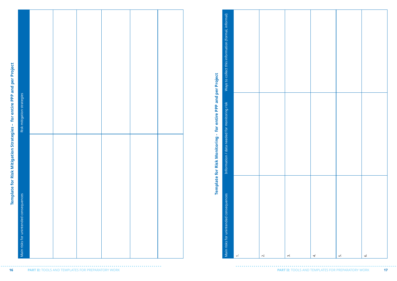|                                                                          |                                        |  |  |  |                                             | Ways to collect this information (formal, informal) |        |                |                    |                |    |                    |
|--------------------------------------------------------------------------|----------------------------------------|--|--|--|---------------------------------------------|-----------------------------------------------------|--------|----------------|--------------------|----------------|----|--------------------|
| Template for Risk Mitigation Strategies - for entire PPP and per Project | Risk mitigation strategies             |  |  |  | Monitoring - for entire PPP and per Project | ion / data needed for monitoring risk               |        |                |                    |                |    |                    |
|                                                                          | Main risks for unintended consequences |  |  |  | Risk<br>for<br><b>Template</b>              | Informati<br>consequences                           |        |                |                    |                |    |                    |
|                                                                          | .                                      |  |  |  |                                             | Main risks for unintended                           | $\div$ | $\overline{N}$ | $\dot{\mathsf{c}}$ | $\overline{4}$ | ம் | Ġ.<br>, <b>.</b> . |

| Ways to collect this information (formal, informal) |  |                          |    |
|-----------------------------------------------------|--|--------------------------|----|
| Information / data needed for monitoring risk       |  |                          |    |
| Main risks for unintended consequences              |  | $\overline{\mathcal{N}}$ | ന് |

| 4. | <u>ທ່</u> | $\dot{\circ}$ |
|----|-----------|---------------|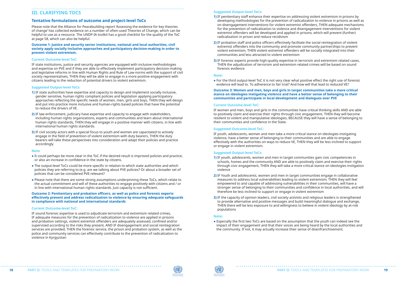### **III. CLARIFYING TOCs**

#### **Tentative formulations of outcome and project-level ToCs**

Please note that the Alliance for Peacebuilding report 'Assessing the evidence for key theories of change' has collected evidence on a number of often-used Theories of Change, which can be helpful to use as a resource. The UNDP-IA toolkit has a good checklist for the quality of the ToC at page 58, which can also be helpful.

**Outcome 1: Justice and security sector institutions, national and local authorities, civil society apply socially inclusive approaches and participatory decision-making in order to prevent violent extremism.** 

#### **Current Outcome-level ToC:**

IF state institutions, justice and security agencies are equipped with inclusive methodologies and expertise on PVE and if they are able to effectively implement participatory decision-making and legislative reforms in line with Human Rights and Rule of Law norms with the support of civil society representatives, THEN they will be able to engage in a more positive engagement with citizens leading to the reduction of potential drivers to violent extremism.

#### **Suggested Output-level ToCs:**

- **1)** IF state authorities have expertise and capacity to design and implement socially inclusive, gender sensitive, human rights compliant policies and legislation applying participatory approaches reflecting the specific needs of women, men, girls and boys, THEN they will design and put into practice more inclusive and human-rights based policies that have the potential to reduce the drivers of VE.
- **2)** IF law enforcement, judiciary have expertise and capacity to engage with stakeholders, including human rights organizations, experts and communities and learn about international human rights standards, THEN they will engage in a positive manner with citizens, in line with international human rights standards.
- **3)** IF civil society actors with a special focus to youth and women are capacitated to actively engage in the field of prevention of violent extremism with duty bearers, THEN the duty bearers will take these perspectives into consideration and adapt their policies and practice accordingly

#### **Note**

- **●** It could perhaps be more clear in the ToC if the desired result is improved policies and practice, or also an increase in confidence in the state by citizens.
- **●** The output-level ToCs could be more specific in relation to which state authorities and which policies they are referring to (e.g. are we talking about PVE policies? Or about a broader set of policies that can be considered PVE-relevant?
- **●** Please note that there are some strong assumptions underpinning these ToCs, which relate to the actual commitment and will of these authorities to engage positively with citizens and / or in line with international human rights standards. Just capacity is not sufficient.

#### **Outcome 2: Penitentiary and probation officers, as well as police and forensic experts effectively prevent and address radicalization to violence by ensuring adequate safeguards in compliance with national and international standards**

#### **Current Outcome-level ToC:**

IF sound forensic expertise is used to adjudicate terrorism and extremism related crimes, IF adequate measures for the prevention of radicalization to violence are applied in prisons and probation settings, violent extremist offenders are adequately assessed, confined and/or supervised according to the risks they present, AND IF disengagement and social reintegration services are provided, THEN the forensic service, the prison and probation system, as well as the police and community services can effectively contribute to the prevention of radicalization to violence in Kyrgyzstan

#### **Suggested Output-level ToCs:**

- **1)** IF penitentiary staff enhance their expertise on addressing violent extremism in prisons by developing methodologies for the prevention of radicalization to violence in prisons as well as on disengagement interventions for violent extremist offenders, THEN adequate mechanisms for the prevention of radicalization to violence and disengagement interventions for violent extremist offenders will be developed and applied in prisons, which will prevent (further) radicalization in prison and reduce recidivism
- **2)** IF probation staff and police officers effectively facilitate the social reintegration of violent extremist offenders into the community and promote community partnerships to prevent violent extremism, THEN violent extremist offenders will be socially integrated into their communities and less attracted to violent extremism
- **3)** IF forensic experts provide high-quality expertise in terrorism and extremism related cases, THEN the adjudication of terrorism and extremism related crimes will be based on sound forensic evidence

#### **Note:**

**●** For the third output-level ToC it is not very clear what positive effect the right use of forensic evidence will lead to. To adherence to fair trial? And how will that lead to reduced VE?

#### **Outcome 3: Women and men, boys and girls in target communities take a more critical stance on ideologies instigating violence and have a better sense of belonging to their communities and participate in local development and dialogues over PVE**

#### **Current Outcome-level ToC:**

IF women and men, boys and girls in the communities have critical thinking skills AND are able to positively claim and exercise their rights through civic engagement, THEN they will become resilient to violent and manipulative ideologies, BECAUSE they will have a sense of belonging to their communities and confidence in the State.

#### **Suggested Outcome-level ToC:**

IF youth, adolescents, women and men take a more critical stance on ideologies instigating violence, have a better sense of belonging to their communities and are able to engage effectively with the authorities on ways to reduce VE, THEN they will be less inclined to support or engage in violent extremism.

#### **Suggested Output-level ToCs:**

- **1)** IF youth, adolescents, women and men in target communities gain civic competencies in schools, homes and the community AND are able to positively claim and exercise their rights through civic engagement, THEN they will take a more critical stance on ideologies instigation violence
- **2)** IF Youth and adolescents, women and men in target communities engage in collaborative measures to address local vulnerabilities leading to violent extremism; THEN they will feel empowered to and capable of addressing vulnerabilities in their communities, will have a stronger sense of belonging to their communities and confidence in local authorities, and will therefore be less inclined to support or engage in violent extremism
- **3)** IF the capacity of opinion leaders, civil society activists and religious leaders is strengthened to provide alternative and positive messages and build meaningful dialogue and exchange, THEN there will be less exposure to and willingness to believe in violent ideology by at-risk populations

#### **Note:**

**●** Especially the first two ToCs are based on the assumption that the youth can indeed see the impact of their engagement and that their voices are being heard by the local authorities and the community. If not, it may actually increase their sense of disenfranchisement.

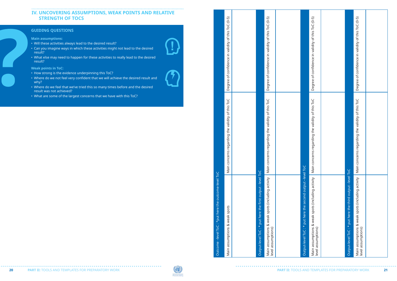## IV. UNCOVERING ASSUMPTIONS, WEAK POINTS AND RELATIVE **STRE NGTH OF TOCS**

#### **Guiding questions**

**Main assumptions:**

- 
- Will these activities always lead to the desired result? Can you imagine ways in which these activities might not lead to the desired result?
- What else may need to happen for these activities to really lead to the desired result?

- 
- How strong is the evidence underpinning this ToC?<br>• Where do we not feel very confident that we will achieve the desired result and why?
- Where do we feel that we've tried this so many times before and the desired result was not achieved?
- What are some of the largest concerns that we have with this ToC?



**Weak points in To C:** 

| Degree of confidence in validity of this ToC (0-5)<br>Degree of confidence in validity of this ToC (0-5) | concerns regarding the validity of this ToC<br>concerns regarding the validity of this ToC<br>Main | Main assumptions & weak spots (including activity   Main<br>Output-level ToC : * put here the first output -level ToC<br>Outcome -level ToC : *put here the outcome-level ToC<br>Main assumptions & weak spots<br>level assumptions) |
|----------------------------------------------------------------------------------------------------------|----------------------------------------------------------------------------------------------------|--------------------------------------------------------------------------------------------------------------------------------------------------------------------------------------------------------------------------------------|
|                                                                                                          |                                                                                                    |                                                                                                                                                                                                                                      |
|                                                                                                          |                                                                                                    |                                                                                                                                                                                                                                      |
|                                                                                                          |                                                                                                    |                                                                                                                                                                                                                                      |
|                                                                                                          |                                                                                                    |                                                                                                                                                                                                                                      |
|                                                                                                          |                                                                                                    |                                                                                                                                                                                                                                      |
|                                                                                                          |                                                                                                    |                                                                                                                                                                                                                                      |
|                                                                                                          |                                                                                                    |                                                                                                                                                                                                                                      |



. . . . . . . . . . . . . . . . . .

| Output-level ToC : * put here the second output -level ToC                          |                                         |                                                    |
|-------------------------------------------------------------------------------------|-----------------------------------------|----------------------------------------------------|
| Main assumptions & weak spots (including activity   Main conc<br>level assumptions) | erns regarding the validity of this ToC | Degree of confidence in validity of this ToC (0-5) |
|                                                                                     |                                         |                                                    |
| Output-level ToC: * put here the third output -level ToC                            |                                         |                                                    |
| Main assumptions & weak spots (including activity   Main conc<br>level assumptions) | erns regarding the validity of this ToC | Degree of confidence in validity of this ToC (0-5) |
|                                                                                     |                                         |                                                    |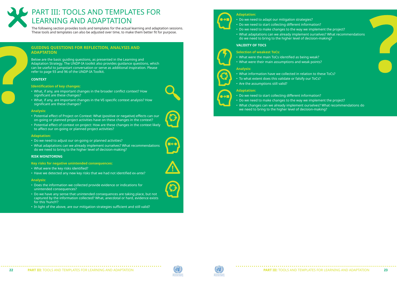

# PART III: TOOLS AND TEMPLATES FOR LEARNING AND ADAPTATION

The following section provides tools and templates for the actual learning and adaptation sessions. These tools and templates can also be adjusted over time, to make them better fit for purpose.

#### **Guiding questions for reflection, analysis and adaptation**

Below are the basic guiding questions, as presented in the Learning and Adaptation Strategy. The UNDP-IA toolkit also provides guidance questions, which can be useful to jumpstart conversation or serve as additional inspiration. Please refer to page 93 and 96 of the UNDP-IA Toolkit.

#### **Context**

#### **Identification of key changes:**

- What, if any, are important changes in the broader conflict context? How significant are these changes?
- What, if any, are important changes in the VE-specific context analysis? How significant are these changes?

#### **Analysis:**

- Potential effect of Project on Context: What (positive or negative) effects can our on-going or planned project activities have on these changes in the context?
- Potential effect of context on project: How are these changes in the context likely to affect our on-going or planned project activities?

#### **Adaptation:**

- Do we need to adjust our on-going or planned activities?
- What adaptations can we already implement ourselves? What recommendations do we need to bring to the higher level of decision-making?

#### **Risk monitoring**

#### **Key risks for negative unintended consequences:**

- What were the key risks identified?
- Have we detected any new key risks that we had not identified ex-ante?

#### **Analysis:**

- Does the information we collected provide evidence or indications for unintended consequences?
- Do we have any sense that unintended consequences are taking place, but not captured by the information collected? What, anecdotal or hard, evidence exists for this 'hunch'?

• In light of the above, are our mitigation strategies sufficient and still valid?



• Do we need to make changes to the way we implement the project?

- Do we need to adapt our mitigation strategies?
- Do we need to start collecting different information?
- 
- What adaptations can we already implement ourselves? What recommendations do we need to bring to the higher level of decision-making?

#### **Validity of ToCs**

#### **Selection of weakest ToCs:**

- What were the main ToCs identified as being weak?
- What were their main assumptions and weak points?

#### **Analysis:**

- What information have we collected in relation to these ToCs?
- To what extent does this validate or falsify our ToCs?
	- Are the assumptions still valid?

#### **Adaptation:**

- Do we need to start collecting different information?
- Do we need to make changes to the way we implement the project?
- What changes can we already implement ourselves? What recommendations do we need to bring to the higher level of decision-making?







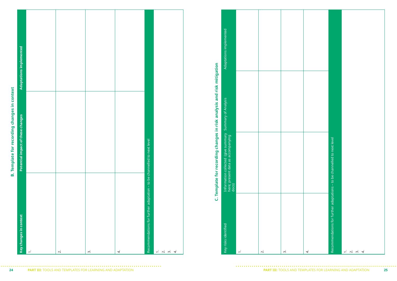| l                                  |
|------------------------------------|
|                                    |
| is singers.<br>١                   |
| ١                                  |
| $\overline{\phantom{a}}$<br>ו<br>ŗ |
| Ĩ                                  |
| ו<br>ואור הי                       |
|                                    |
| m                                  |

|        |                   |                |                |                                                                                                           |                                                   | Adaptations implemented                                                                                 |                          |                   |    |    |                                                                                                           |  |
|--------|-------------------|----------------|----------------|-----------------------------------------------------------------------------------------------------------|---------------------------------------------------|---------------------------------------------------------------------------------------------------------|--------------------------|-------------------|----|----|-----------------------------------------------------------------------------------------------------------|--|
|        |                   |                |                |                                                                                                           | ding changes in risk analysis and risk mitigation |                                                                                                         |                          |                   |    |    |                                                                                                           |  |
|        |                   |                |                | be channelled to next level                                                                               | recor                                             | Information collected(give summary   Summary of Analysis<br>here; present data as accompanying<br>docs) |                          |                   |    |    | to be channelled to next level                                                                            |  |
|        |                   |                |                | $\mathbf{S}$<br>Recommendations for further adaptation                                                    | Template for<br>$\dot{U}$                         |                                                                                                         |                          |                   |    |    | -11<br>Recommendations for further adaptations                                                            |  |
| $\div$ | $\overline{\sim}$ | $\dot{\gamma}$ | $\overline{4}$ | $\begin{array}{ccc} - & \sim & \sim & \sim & \rightarrow \\ \sim & \sim & \sim & \sim & \sim \end{array}$ |                                                   | Key risks identified                                                                                    | $\overline{\phantom{a}}$ | $\overline{\sim}$ | ന് | 4. | $\begin{array}{ccc} - & \sim & \sim & \sim & \rightarrow \\ \sim & \sim & \sim & \sim & \sim \end{array}$ |  |

|   |                | I |
|---|----------------|---|
|   |                |   |
|   |                |   |
|   |                |   |
|   |                |   |
|   |                |   |
|   |                |   |
|   |                |   |
|   |                |   |
|   | Nuc sishirur 7 |   |
|   |                |   |
|   |                |   |
|   |                |   |
|   |                |   |
|   |                |   |
|   |                |   |
|   | 3              |   |
|   |                |   |
|   |                |   |
|   |                |   |
|   |                |   |
|   |                |   |
|   |                |   |
|   |                |   |
|   |                |   |
|   |                |   |
|   |                |   |
|   |                |   |
|   | ΰ              |   |
|   |                |   |
|   |                |   |
|   | י<br>ו         |   |
|   |                |   |
|   | פטטמפ וט גופ   |   |
|   |                |   |
|   |                | j |
|   |                |   |
|   |                |   |
|   |                |   |
|   |                |   |
|   |                |   |
|   |                |   |
|   |                |   |
|   |                |   |
|   |                |   |
|   |                |   |
|   |                |   |
|   |                |   |
|   |                |   |
|   |                |   |
|   |                |   |
|   |                |   |
|   |                |   |
| I |                |   |
| l | j              |   |

| Adaptations implemented                                                                                  |                   |                |
|----------------------------------------------------------------------------------------------------------|-------------------|----------------|
| Information collected (give summary   Summary of Analysis<br>here; present data as accompanying<br>docs) |                   |                |
| Key risks identified                                                                                     | $\overline{\sim}$ | $\dot{\infty}$ |

|    | Recommendations for further adaptations - to be channelled to next level |                                           |
|----|--------------------------------------------------------------------------|-------------------------------------------|
|    |                                                                          |                                           |
|    |                                                                          |                                           |
|    |                                                                          |                                           |
|    |                                                                          |                                           |
|    |                                                                          |                                           |
|    |                                                                          |                                           |
| 4. |                                                                          | $\dot{\sim}$<br>$\dot{\gamma}$<br>4.<br>ᡪ |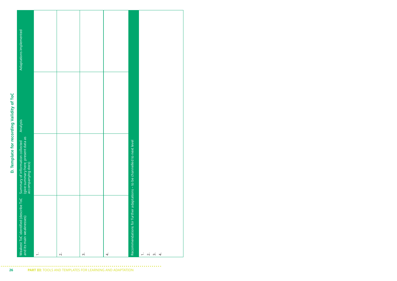|                                           | Adaptations implemented                                                                               |        |                   |                    |    |                                                                          |                                                            |
|-------------------------------------------|-------------------------------------------------------------------------------------------------------|--------|-------------------|--------------------|----|--------------------------------------------------------------------------|------------------------------------------------------------|
| D. Template for recording Validity of ToC | Analysis                                                                                              |        |                   |                    |    |                                                                          |                                                            |
|                                           | present data as<br>tion collected<br>Summary of informal<br>(give summary here;<br>accompanying docs) |        |                   |                    |    |                                                                          |                                                            |
|                                           | Weakest ToC identified (describe ToC<br>and its main weaknesses)                                      | $\div$ | $\overline{\sim}$ | $\dot{\mathsf{c}}$ | 4. | Recommendations for further adaptations - to be channelled to next level | $\div$<br>$\overline{4}$<br>$\overline{\sim}$<br>$\dot{m}$ |